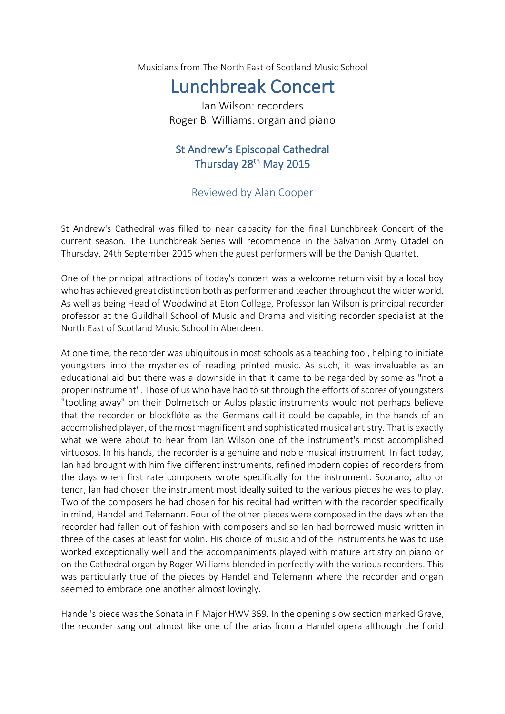Musicians from The North East of Scotland Music School

## Lunchbreak Concert

Ian Wilson: recorders Roger B. Williams: organ and piano

## St Andrew's Episcopal Cathedral Thursday 28<sup>th</sup> May 2015

## Reviewed by Alan Cooper

St Andrew's Cathedral was filled to near capacity for the final Lunchbreak Concert of the current season. The Lunchbreak Series will recommence in the Salvation Army Citadel on Thursday, 24th September 2015 when the guest performers will be the Danish Quartet.

One of the principal attractions of today's concert was a welcome return visit by a local boy who has achieved great distinction both as performer and teacher throughout the wider world. As well as being Head of Woodwind at Eton College, Professor Ian Wilson is principal recorder professor at the Guildhall School of Music and Drama and visiting recorder specialist at the North East of Scotland Music School in Aberdeen.

At one time, the recorder was ubiquitous in most schools as a teaching tool, helping to initiate youngsters into the mysteries of reading printed music. As such, it was invaluable as an educational aid but there was a downside in that it came to be regarded by some as "not a proper instrument". Those of us who have had to sit through the efforts of scores of youngsters "tootling away" on their Dolmetsch or Aulos plastic instruments would not perhaps believe that the recorder or blockflöte as the Germans call it could be capable, in the hands of an accomplished player, of the most magnificent and sophisticated musical artistry. That is exactly what we were about to hear from Ian Wilson one of the instrument's most accomplished virtuosos. In his hands, the recorder is a genuine and noble musical instrument. In fact today, Ian had brought with him five different instruments, refined modern copies of recorders from the days when first rate composers wrote specifically for the instrument. Soprano, alto or tenor, Ian had chosen the instrument most ideally suited to the various pieces he was to play. Two of the composers he had chosen for his recital had written with the recorder specifically in mind, Handel and Telemann. Four of the other pieces were composed in the days when the recorder had fallen out of fashion with composers and so Ian had borrowed music written in three of the cases at least for violin. His choice of music and of the instruments he was to use worked exceptionally well and the accompaniments played with mature artistry on piano or on the Cathedral organ by Roger Williams blended in perfectly with the various recorders. This was particularly true of the pieces by Handel and Telemann where the recorder and organ seemed to embrace one another almost lovingly.

Handel's piece was the Sonata in F Major HWV 369. In the opening slow section marked Grave, the recorder sang out almost like one of the arias from a Handel opera although the florid